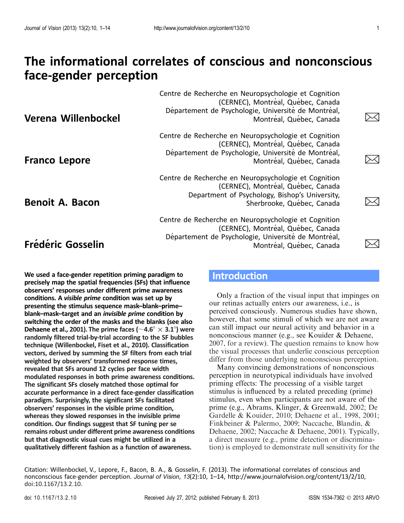# The informational correlates of conscious and nonconscious face-gender perception

| Verena Willenbockel      | Centre de Recherche en Neuropsychologie et Cognition<br>(CERNEC), Montréal, Québec, Canada<br>Département de Psychologie, Université de Montréal,<br>Montréal, Québec, Canada |                     |
|--------------------------|-------------------------------------------------------------------------------------------------------------------------------------------------------------------------------|---------------------|
| <b>Franco Lepore</b>     | Centre de Recherche en Neuropsychologie et Cognition<br>(CERNEC), Montréal, Québec, Canada<br>Département de Psychologie, Université de Montréal,<br>Montréal, Québec, Canada | $\overline{\times}$ |
| <b>Benoit A. Bacon</b>   | Centre de Recherche en Neuropsychologie et Cognition<br>(CERNEC), Montréal, Québec, Canada<br>Department of Psychology, Bishop's University,<br>Sherbrooke, Québec, Canada    |                     |
| <b>Frédéric Gosselin</b> | Centre de Recherche en Neuropsychologie et Cognition<br>(CERNEC), Montréal, Québec, Canada<br>Département de Psychologie, Université de Montréal,<br>Montréal, Québec, Canada |                     |

We used a face-gender repetition priming paradigm to precisely map the spatial frequencies (SFs) that influence observers' responses under different prime awareness conditions. A visible prime condition was set up by presenting the stimulus sequence mask–blank–prime– blank–mask–target and an invisible prime condition by switching the order of the masks and the blanks (see also Dehaene et al., [2001\)](#page-12-0). The prime faces ( $\sim$ 4.6°  $\times$  3.1°) were randomly filtered trial-by-trial according to the SF bubbles technique (Willenbockel, Fiset et al., [2010\)](#page-13-0). Classification vectors, derived by summing the SF filters from each trial weighted by observers' transformed response times, revealed that SFs around 12 cycles per face width modulated responses in both prime awareness conditions. The significant SFs closely matched those optimal for accurate performance in a direct face-gender classification paradigm. Surprisingly, the significant SFs facilitated observers' responses in the visible prime condition, whereas they slowed responses in the invisible prime condition. Our findings suggest that SF tuning per se remains robust under different prime awareness conditions but that diagnostic visual cues might be utilized in a qualitatively different fashion as a function of awareness.

## Introduction

Only a fraction of the visual input that impinges on our retinas actually enters our awareness, i.e., is perceived consciously. Numerous studies have shown, however, that some stimuli of which we are not aware can still impact our neural activity and behavior in a nonconscious manner (e.g., see Kouider & Dehaene, [2007,](#page-13-0) for a review). The question remains to know how the visual processes that underlie conscious perception differ from those underlying nonconscious perception.

Many convincing demonstrations of nonconscious perception in neurotypical individuals have involved priming effects: The processing of a visible target stimulus is influenced by a related preceding (prime) stimulus, even when participants are not aware of the prime (e.g., Abrams, Klinger, & Greenwald, [2002;](#page-11-0) De Gardelle & Kouider, [2010](#page-12-0); Dehaene et al., [1998, 2001](#page-12-0); Finkbeiner & Palermo, [2009;](#page-12-0) Naccache, Blandin, & Dehaene, [2002;](#page-13-0) Naccache & Dehaene, [2001](#page-13-0)). Typically, a direct measure (e.g., prime detection or discrimination) is employed to demonstrate null sensitivity for the

Citation: Willenbockel, V., Lepore, F., Bacon, B. A., & Gosselin, F. (2013). The informational correlates of conscious and nonconscious face-gender perception. Journal of Vision, 13(2):10, 1–14, http://www.journalofvision.org/content/13/2/10, doi:10.1167/13.2.10.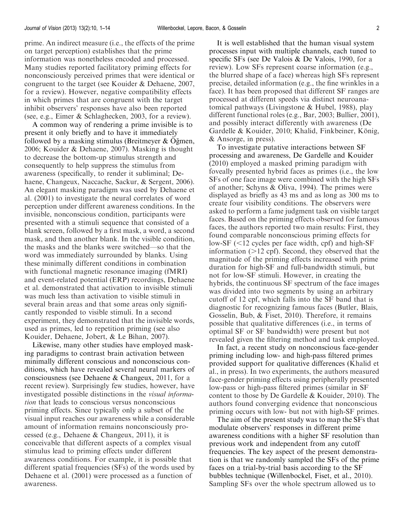prime. An indirect measure (i.e., the effects of the prime on target perception) establishes that the prime information was nonetheless encoded and processed. Many studies reported facilitatory priming effects for nonconsciously perceived primes that were identical or congruent to the target (see Kouider & Dehaene, [2007](#page-13-0), for a review). However, negative compatibility effects in which primes that are congruent with the target inhibit observers' responses have also been reported (see, e.g., Eimer & Schlaghecken, [2003,](#page-12-0) for a review).

A common way of rendering a prime invisible is to present it only briefly and to have it immediately followed by a masking stimulus (Breitmeyer  $&$  Oğmen, [2006;](#page-12-0) Kouider & Dehaene, [2007\)](#page-13-0). Masking is thought to decrease the bottom-up stimulus strength and consequently to help suppress the stimulus from awareness (specifically, to render it subliminal; Dehaene, Changeux, Naccache, Sackur, & Sergent, [2006](#page-12-0)). An elegant masking paradigm was used by Dehaene et al. ([2001\)](#page-12-0) to investigate the neural correlates of word perception under different awareness conditions. In the invisible, nonconscious condition, participants were presented with a stimuli sequence that consisted of a blank screen, followed by a first mask, a word, a second mask, and then another blank. In the visible condition, the masks and the blanks were switched—so that the word was immediately surrounded by blanks. Using these minimally different conditions in combination with functional magnetic resonance imaging (fMRI) and event-related potential (ERP) recordings, Dehaene et al. demonstrated that activation to invisible stimuli was much less than activation to visible stimuli in several brain areas and that some areas only significantly responded to visible stimuli. In a second experiment, they demonstrated that the invisible words, used as primes, led to repetition priming (see also Kouider, Dehaene, Jobert, & Le Bihan, [2007\)](#page-13-0).

Likewise, many other studies have employed masking paradigms to contrast brain activation between minimally different conscious and nonconscious conditions, which have revealed several neural markers of consciousness (see Dehaene & Changeux, [2011,](#page-12-0) for a recent review). Surprisingly few studies, however, have investigated possible distinctions in the visual information that leads to conscious versus nonconscious priming effects. Since typically only a subset of the visual input reaches our awareness while a considerable amount of information remains nonconsciously processed (e.g., Dehaene & Changeux, [2011](#page-12-0)), it is conceivable that different aspects of a complex visual stimulus lead to priming effects under different awareness conditions. For example, it is possible that different spatial frequencies (SFs) of the words used by Dehaene et al. [\(2001](#page-12-0)) were processed as a function of awareness.

It is well established that the human visual system processes input with multiple channels, each tuned to specific SFs (see De Valois & De Valois, [1990,](#page-12-0) for a review). Low SFs represent coarse information (e.g., the blurred shape of a face) whereas high SFs represent precise, detailed information (e.g., the fine wrinkles in a face). It has been proposed that different SF ranges are processed at different speeds via distinct neuroanatomical pathways (Livingstone & Hubel, [1988](#page-13-0)), play different functional roles (e.g., Bar, [2003](#page-11-0); Bullier, [2001](#page-12-0)), and possibly interact differently with awareness (De Gardelle & Kouider, 2010; Khalid, Finkbeiner, König, [& Ansorge, in press](#page-12-0)).

To investigate putative interactions between SF processing and awareness, De Gardelle and Kouider ([2010](#page-12-0)) employed a masked priming paradigm with foveally presented hybrid faces as primes (i.e., the low SFs of one face image were combined with the high SFs of another; Schyns & Oliva, [1994](#page-13-0)). The primes were displayed as briefly as 43 ms and as long as 300 ms to create four visibility conditions. The observers were asked to perform a fame judgment task on visible target faces. Based on the priming effects observed for famous faces, the authors reported two main results: First, they found comparable nonconscious priming effects for low-SF  $\ll 12$  cycles per face width, cpf) and high-SF information  $(>12 \text{ cpf})$ . Second, they observed that the magnitude of the priming effects increased with prime duration for high-SF and full-bandwidth stimuli, but not for low-SF stimuli. However, in creating the hybrids, the continuous SF spectrum of the face images was divided into two segments by using an arbitrary cutoff of 12 cpf, which falls into the SF band that is diagnostic for recognizing famous faces (Butler, Blais, Gosselin, Bub, & Fiset, [2010](#page-12-0)). Therefore, it remains possible that qualitative differences (i.e., in terms of optimal SF or SF bandwidth) were present but not revealed given the filtering method and task employed.

In fact, a recent study on nonconscious face-gender priming including low- and high-pass filtered primes provided support for qualitative differences [\(Khalid et](#page-12-0) [al., in press\)](#page-12-0). In two experiments, the authors measured face-gender priming effects using peripherally presented low-pass or high-pass filtered primes (similar in SF content to those by De Gardelle & Kouider, [2010](#page-12-0)). The authors found converging evidence that nonconscious priming occurs with low- but not with high-SF primes.

The aim of the present study was to map the SFs that modulate observers' responses in different prime awareness conditions with a higher SF resolution than previous work and independent from any cutoff frequencies. The key aspect of the present demonstration is that we randomly sampled the SFs of the prime faces on a trial-by-trial basis according to the SF bubbles technique (Willenbockel, Fiset, et al., [2010\)](#page-13-0). Sampling SFs over the whole spectrum allowed us to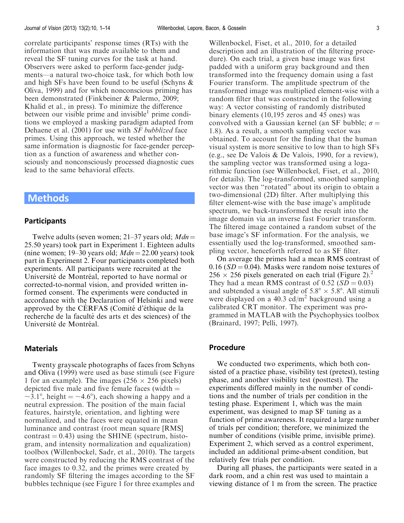correlate participants' response times (RTs) with the information that was made available to them and reveal the SF tuning curves for the task at hand. Observers were asked to perform face-gender judgments—a natural two-choice task, for which both low and high SFs have been found to be useful (Schyns & Oliva, [1999\)](#page-13-0) and for which nonconscious priming has been demonstrated (Finkbeiner & Palermo, [2009](#page-12-0); [Khalid et al., in press](#page-12-0)). To minimize the difference between our visible prime and invisible $<sup>1</sup>$  $<sup>1</sup>$  $<sup>1</sup>$  prime condi-</sup> tions we employed a masking paradigm adapted from Dehaene et al. [\(2001](#page-12-0)) for use with SF bubblized face primes. Using this approach, we tested whether the same information is diagnostic for face-gender perception as a function of awareness and whether consciously and nonconsciously processed diagnostic cues lead to the same behavioral effects.

# **Methods**

#### **Participants**

Twelve adults (seven women; 21–37 years old;  $Mdn =$ 25.50 years) took part in Experiment 1. Eighteen adults (nine women; 19–30 years old;  $Mdn = 22.00$  years) took part in Experiment 2. Four participants completed both experiments. All participants were recruited at the Université de Montréal, reported to have normal or corrected-to-normal vision, and provided written informed consent. The experiments were conducted in accordance with the Declaration of Helsinki and were approved by the CERFAS (Comité d'éthique de la recherche de la faculté des arts et des sciences) of the Université de Montréal.

#### **Materials**

Twenty grayscale photographs of faces from Schyns and Oliva ([1999](#page-13-0)) were used as base stimuli (see [Figure](#page-3-0) [1](#page-3-0) for an example). The images ( $256 \times 256$  pixels) depicted five male and five female faces (width  $=$  $\sim$ 3.1°, height =  $\sim$ 4.6°), each showing a happy and a neutral expression. The position of the main facial features, hairstyle, orientation, and lighting were normalized, and the faces were equated in mean luminance and contrast (root mean square [RMS] contrast  $= 0.43$ ) using the SHINE (spectrum, histogram, and intensity normalization and equalization) toolbox (Willenbockel, Sadr, et al., [2010](#page-13-0)). The targets were constructed by reducing the RMS contrast of the face images to 0.32, and the primes were created by randomly SF filtering the images according to the SF bubbles technique (see [Figure 1](#page-3-0) for three examples and

Willenbockel, Fiset, et al., [2010](#page-13-0), for a detailed description and an illustration of the filtering procedure). On each trial, a given base image was first padded with a uniform gray background and then transformed into the frequency domain using a fast Fourier transform. The amplitude spectrum of the transformed image was multiplied element-wise with a random filter that was constructed in the following way: A vector consisting of randomly distributed binary elements (10,195 zeros and 45 ones) was convolved with a Gaussian kernel (an SF bubble;  $\sigma =$ 1.8). As a result, a smooth sampling vector was obtained. To account for the finding that the human visual system is more sensitive to low than to high SFs (e.g., see De Valois & De Valois, [1990](#page-12-0), for a review), the sampling vector was transformed using a logarithmic function (see Willenbockel, Fiset, et al., [2010](#page-13-0), for details). The log-transformed, smoothed sampling vector was then ''rotated'' about its origin to obtain a two-dimensional (2D) filter. After multiplying this filter element-wise with the base image's amplitude spectrum, we back-transformed the result into the image domain via an inverse fast Fourier transform. The filtered image contained a random subset of the base image's SF information. For the analysis, we essentially used the log-transformed, smoothed sampling vector, henceforth referred to as SF filter.

On average the primes had a mean RMS contrast of 0.16 ( $SD = 0.04$ ). Masks were random noise textures of  $256 \times 256$  $256 \times 256$  pixels generated on each trial [\(Figure 2](#page-4-0)).<sup>2</sup> They had a mean RMS contrast of  $0.52$  ( $SD = 0.03$ ) and subtended a visual angle of  $5.8^{\circ} \times 5.8^{\circ}$ . All stimuli were displayed on a 40.3  $cd/m^2$  background using a calibrated CRT monitor. The experiment was programmed in MATLAB with the Psychophysics toolbox (Brainard, [1997;](#page-12-0) Pelli, [1997](#page-13-0)).

#### Procedure

We conducted two experiments, which both consisted of a practice phase, visibility test (pretest), testing phase, and another visibility test (posttest). The experiments differed mainly in the number of conditions and the number of trials per condition in the testing phase. Experiment 1, which was the main experiment, was designed to map SF tuning as a function of prime awareness. It required a large number of trials per condition; therefore, we minimized the number of conditions (visible prime, invisible prime). Experiment 2, which served as a control experiment, included an additional prime-absent condition, but relatively few trials per condition.

During all phases, the participants were seated in a dark room, and a chin rest was used to maintain a viewing distance of 1 m from the screen. The practice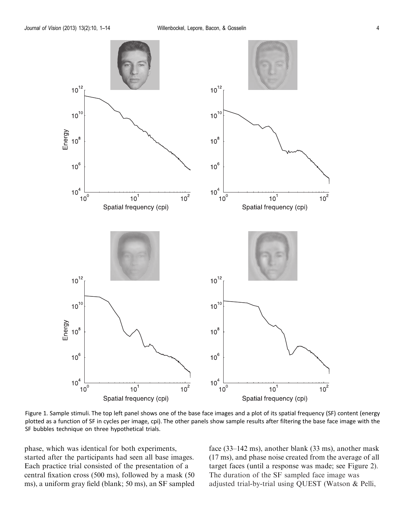<span id="page-3-0"></span>

Figure 1. Sample stimuli. The top left panel shows one of the base face images and a plot of its spatial frequency (SF) content (energy plotted as a function of SF in cycles per image, cpi). The other panels show sample results after filtering the base face image with the SF bubbles technique on three hypothetical trials.

phase, which was identical for both experiments, started after the participants had seen all base images. Each practice trial consisted of the presentation of a central fixation cross (500 ms), followed by a mask (50 ms), a uniform gray field (blank; 50 ms), an SF sampled face (33–142 ms), another blank (33 ms), another mask (17 ms), and phase noise created from the average of all target faces (until a response was made; see [Figure 2\)](#page-4-0). The duration of the SF sampled face image was adjusted trial-by-trial using QUEST (Watson & Pelli,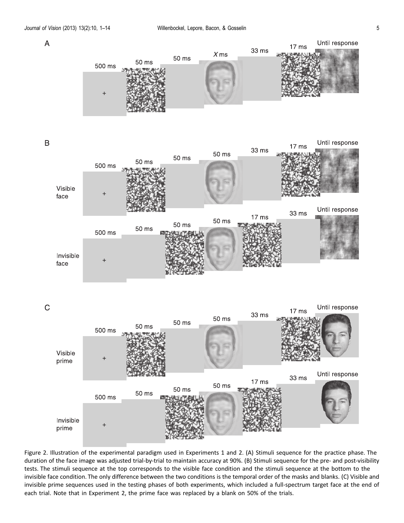<span id="page-4-0"></span>

Figure 2. Illustration of the experimental paradigm used in Experiments 1 and 2. (A) Stimuli sequence for the practice phase. The duration of the face image was adjusted trial-by-trial to maintain accuracy at 90%. (B) Stimuli sequence for the pre- and post-visibility tests. The stimuli sequence at the top corresponds to the visible face condition and the stimuli sequence at the bottom to the invisible face condition. The only difference between the two conditions is the temporal order of the masks and blanks. (C) Visible and invisible prime sequences used in the testing phases of both experiments, which included a full-spectrum target face at the end of each trial. Note that in Experiment 2, the prime face was replaced by a blank on 50% of the trials.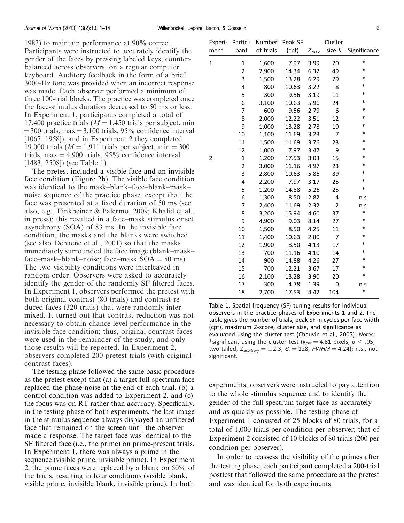<span id="page-5-0"></span>[1983\)](#page-13-0) to maintain performance at 90% correct. Participants were instructed to accurately identify the gender of the faces by pressing labeled keys, counterbalanced across observers, on a regular computer keyboard. Auditory feedback in the form of a brief 3000-Hz tone was provided when an incorrect response was made. Each observer performed a minimum of three 100-trial blocks. The practice was completed once the face-stimulus duration decreased to 50 ms or less. In Experiment 1, participants completed a total of 17,400 practice trials ( $M = 1,450$  trials per subject, min  $=$  300 trials, max  $=$  3,100 trials, 95% confidence interval [1067, 1958]), and in Experiment 2 they completed 19,000 trials  $(M = 1,911)$  trials per subject, min = 300 trials, max  $=$  4,900 trials, 95% confidence interval [1483, 2508]) (see Table 1).

The pretest included a visible face and an invisible face condition ([Figure 2b](#page-4-0)). The visible face condition was identical to the mask–blank–face–blank–mask– noise sequence of the practice phase, except that the face was presented at a fixed duration of 50 ms (see also, e.g., Finkbeiner & Palermo, [2009](#page-12-0); [Khalid et al.,](#page-12-0) [in press](#page-12-0)); this resulted in a face–mask stimulus onset asynchrony (SOA) of 83 ms. In the invisible face condition, the masks and the blanks were switched (see also Dehaene et al., [2001](#page-12-0)) so that the masks immediately surrounded the face image (blank–mask– face–mask–blank–noise; face–mask  $SOA = 50$  ms). The two visibility conditions were interleaved in random order. Observers were asked to accurately identify the gender of the randomly SF filtered faces. In Experiment 1, observers performed the pretest with both original-contrast (80 trials) and contrast-reduced faces (320 trials) that were randomly intermixed. It turned out that contrast reduction was not necessary to obtain chance-level performance in the invisible face condition; thus, original-contrast faces were used in the remainder of the study, and only those results will be reported. In Experiment 2, observers completed 200 pretest trials (with originalcontrast faces).

The testing phase followed the same basic procedure as the pretest except that (a) a target full-spectrum face replaced the phase noise at the end of each trial, (b) a control condition was added to Experiment 2, and (c) the focus was on RT rather than accuracy. Specifically, in the testing phase of both experiments, the last image in the stimulus sequence always displayed an unfiltered face that remained on the screen until the observer made a response. The target face was identical to the SF filtered face (i.e., the prime) on prime-present trials. In Experiment 1, there was always a prime in the sequence (visible prime, invisible prime). In Experiment 2, the prime faces were replaced by a blank on 50% of the trials, resulting in four conditions (visible blank, visible prime, invisible blank, invisible prime). In both

| Experi-      | Partici-       | Number    | Peak SF | Cluster          |                |              |
|--------------|----------------|-----------|---------|------------------|----------------|--------------|
| ment         | pant           | of trials | (cpf)   | $Z_{\text{max}}$ | size $k$       | Significance |
| $\mathbf{1}$ | 1              | 1,600     | 7.97    | 3.99             | 20             | $\ast$       |
|              | $\overline{2}$ | 2,900     | 14.34   | 6.32             | 49             | $\ast$       |
|              | 3              | 1,500     | 13.28   | 6.29             | 29             | $\ast$       |
|              | 4              | 800       | 10.63   | 3.22             | 8              | $\ast$       |
|              | 5              | 300       | 9.56    | 3.19             | 11             | $\ast$       |
|              | 6              | 3,100     | 10.63   | 5.96             | 24             | $\ast$       |
|              | 7              | 600       | 9.56    | 2.79             | 6              | *            |
|              | 8              | 2,000     | 12.22   | 3.51             | 12             | $\ast$       |
|              | 9              | 1,000     | 13.28   | 2.78             | 10             | $\ast$       |
|              | 10             | 1,100     | 11.69   | 3.23             | 7              | $\ast$       |
|              | 11             | 1,500     | 11.69   | 3.76             | 23             | $\ast$       |
|              | 12             | 1,000     | 7.97    | 3.47             | 9              | $\ast$       |
| 2            | $\mathbf{1}$   | 1,200     | 17.53   | 3.03             | 15             | *            |
|              | 2              | 3,000     | 11.16   | 4.97             | 23             | $\ast$       |
|              | 3              | 2,800     | 10.63   | 5.86             | 39             | *            |
|              | 4              | 2,200     | 7.97    | 3.17             | 25             | $\ast$       |
|              | 5              | 1,200     | 14.88   | 5.26             | 25             | *            |
|              | 6              | 1,300     | 8.50    | 2.82             | 4              | n.s.         |
|              | 7              | 2,400     | 11.69   | 2.32             | $\overline{c}$ | n.s.         |
|              | 8              | 3,200     | 15.94   | 4.60             | 37             | *            |
|              | 9              | 4,900     | 9.03    | 8.14             | 27             | *            |
|              | 10             | 1,500     | 8.50    | 4.25             | 11             | $\ast$       |
|              | 11             | 1,400     | 10.63   | 2.80             | 7              | *            |
|              | 12             | 1,900     | 8.50    | 4.13             | 17             | $\ast$       |
|              | 13             | 700       | 11.16   | 4.10             | 14             | $\ast$       |
|              | 14             | 900       | 14.88   | 4.26             | 27             | $\ast$       |
|              | 15             | 700       | 12.21   | 3.67             | 17             | $\ast$       |
|              | 16             | 2,100     | 13.28   | 3.90             | 20             | *            |
|              | 17             | 300       | 4.78    | 1.39             | 0              | n.s.         |
|              | 18             | 2,700     | 17.53   | 4.42             | 104            | *            |

Table 1. Spatial frequency (SF) tuning results for individual observers in the practice phases of Experiments 1 and 2. The table gives the number of trials, peak SF in cycles per face width (cpf), maximum Z-score, cluster size, and significance as evaluated using the cluster test (Chauvin et al., 2005). Notes: \*significant using the cluster test ( $k_{crit} = 4.81$  pixels,  $p < .05$ , two-tailed,  $Z_{arbitrary} = \pm 2.3$ ,  $S_r = 128$ , FWHM = 4.24); n.s., not significant.

experiments, observers were instructed to pay attention to the whole stimulus sequence and to identify the gender of the full-spectrum target face as accurately and as quickly as possible. The testing phase of Experiment 1 consisted of 25 blocks of 80 trials, for a total of 1,000 trials per condition per observer; that of Experiment 2 consisted of 10 blocks of 80 trials (200 per condition per observer).

In order to reassess the visibility of the primes after the testing phase, each participant completed a 200-trial posttest that followed the same procedure as the pretest and was identical for both experiments.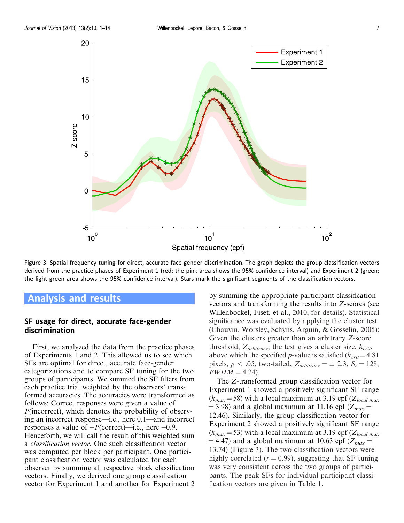20

15

 $10$ 

5

0

Z-score



 $-5$  $10<sup>0</sup>$  $10^1$  $10^2$ Spatial frequency (cpf) Figure 3. Spatial frequency tuning for direct, accurate face-gender discrimination. The graph depicts the group classification vectors

derived from the practice phases of Experiment 1 (red; the pink area shows the 95% confidence interval) and Experiment 2 (green; the light green area shows the 95% confidence interval). Stars mark the significant segments of the classification vectors.

# Analysis and results

## SF usage for direct, accurate face-gender discrimination

First, we analyzed the data from the practice phases of Experiments 1 and 2. This allowed us to see which SFs are optimal for direct, accurate face-gender categorizations and to compare SF tuning for the two groups of participants. We summed the SF filters from each practice trial weighted by the observers' transformed accuracies. The accuracies were transformed as follows: Correct responses were given a value of P(incorrect), which denotes the probability of observing an incorrect response—i.e., here 0.1—and incorrect responses a value of  $-P$ (correct)—i.e., here -0.9. Henceforth, we will call the result of this weighted sum a classification vector. One such classification vector was computed per block per participant. One participant classification vector was calculated for each observer by summing all respective block classification vectors. Finally, we derived one group classification vector for Experiment 1 and another for Experiment 2 by summing the appropriate participant classification vectors and transforming the results into Z-scores (see Willenbockel, Fiset, et al., [2010](#page-13-0), for details). Statistical significance was evaluated by applying the cluster test (Chauvin, Worsley, Schyns, Arguin, & Gosselin, [2005](#page-12-0)): Given the clusters greater than an arbitrary Z-score threshold,  $Z_{arbitrary}$ , the test gives a cluster size,  $k_{crit}$ , above which the specified p-value is satisfied  $(k_{crit} = 4.81$ pixels,  $p < .05$ , two-tailed,  $Z_{arbitrary} = \pm 2.3$ ,  $S_r = 128$ ,  $FWHM = 4.24$ .

The Z-transformed group classification vector for Experiment 1 showed a positively significant SF range  $(k_{max} = 58)$  with a local maximum at 3.19 cpf ( $Z_{local max}$  $=$  3.98) and a global maximum at 11.16 cpf ( $Z_{max}$  = 12.46). Similarly, the group classification vector for Experiment 2 showed a positively significant SF range  $(k_{max} = 53)$  with a local maximum at 3.19 cpf ( $Z_{local max}$  $=$  4.47) and a global maximum at 10.63 cpf ( $Z_{max}$  = 13.74) (Figure 3). The two classification vectors were highly correlated ( $r = 0.99$ ), suggesting that SF tuning was very consistent across the two groups of participants. The peak SFs for individual participant classification vectors are given in [Table 1](#page-5-0).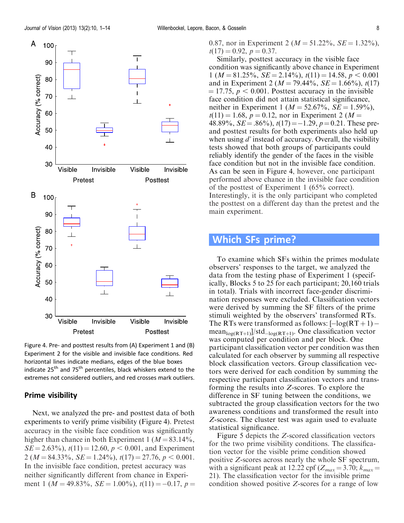

Figure 4. Pre- and posttest results from (A) Experiment 1 and (B) Experiment 2 for the visible and invisible face conditions. Red horizontal lines indicate medians, edges of the blue boxes indicate  $25<sup>th</sup>$  and  $75<sup>th</sup>$  percentiles, black whiskers extend to the extremes not considered outliers, and red crosses mark outliers.

#### Prime visibility

Next, we analyzed the pre- and posttest data of both experiments to verify prime visibility (Figure 4). Pretest accuracy in the visible face condition was significantly higher than chance in both Experiment 1 ( $M = 83.14\%$ ,  $SE = 2.63\%$ ,  $t(11) = 12.60, p < 0.001$ , and Experiment  $2 (M = 84.33\%, SE = 1.24\%), t(17) = 27.76, p < 0.001.$ In the invisible face condition, pretest accuracy was neither significantly different from chance in Experiment 1 ( $M = 49.83\%$ ,  $SE = 1.00\%$ ),  $t(11) = -0.17$ ,  $p =$  0.87, nor in Experiment 2 ( $M = 51.22\%$ ,  $SE = 1.32\%$ ),  $t(17) = 0.92, p = 0.37.$ 

Similarly, posttest accuracy in the visible face condition was significantly above chance in Experiment  $1 (M = 81.25\%, SE = 2.14\%)$ ,  $t(11) = 14.58, p < 0.001$ and in Experiment 2 ( $M = 79.44\%$ ,  $SE = 1.66\%$ ),  $t(17)$  $\mu = 17.75$ ,  $p < 0.001$ . Posttest accuracy in the invisible face condition did not attain statistical significance, neither in Experiment 1 ( $M = 52.67\%$ ,  $SE = 1.59\%$ ),  $t(11) = 1.68$ ,  $p = 0.12$ , nor in Experiment 2 (*M* = 48.89%,  $SE = .86\%$ ,  $t(17) = -1.29$ ,  $p = 0.21$ . These preand posttest results for both experiments also held up when using d' instead of accuracy. Overall, the visibility tests showed that both groups of participants could reliably identify the gender of the faces in the visible face condition but not in the invisible face condition. As can be seen in Figure 4, however, one participant performed above chance in the invisible face condition of the posttest of Experiment 1 (65% correct). Interestingly, it is the only participant who completed the posttest on a different day than the pretest and the main experiment.

# Which SFs prime?

To examine which SFs within the primes modulate observers' responses to the target, we analyzed the data from the testing phase of Experiment 1 (specifically, Blocks 5 to 25 for each participant; 20,160 trials in total). Trials with incorrect face-gender discrimination responses were excluded. Classification vectors were derived by summing the SF filters of the prime stimuli weighted by the observers' transformed RTs. The RTs were transformed as follows:  $[-\text{log}(RT+1)$ mean<sub>log(RT+1)</sub>]/std<sub>-log(RT+1)</sub>. One classification vector was computed per condition and per block. One participant classification vector per condition was then calculated for each observer by summing all respective block classification vectors. Group classification vectors were derived for each condition by summing the respective participant classification vectors and transforming the results into Z-scores. To explore the difference in SF tuning between the conditions, we subtracted the group classification vectors for the two awareness conditions and transformed the result into Z-scores. The cluster test was again used to evaluate statistical significance.

[Figure 5](#page-8-0) depicts the Z-scored classification vectors for the two prime visibility conditions. The classification vector for the visible prime condition showed positive Z-scores across nearly the whole SF spectrum, with a significant peak at 12.22 cpf ( $Z_{max}$  = 3.70;  $k_{max}$  = 21). The classification vector for the invisible prime condition showed positive Z-scores for a range of low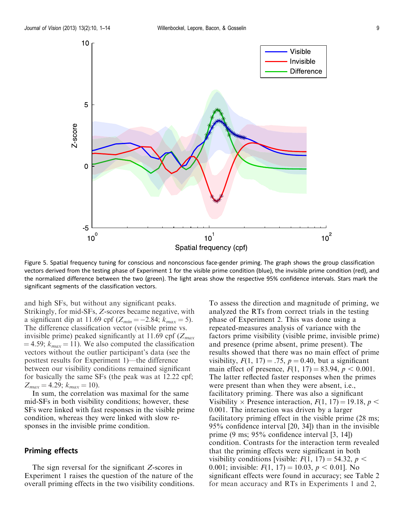<span id="page-8-0"></span>

Figure 5. Spatial frequency tuning for conscious and nonconscious face-gender priming. The graph shows the group classification vectors derived from the testing phase of Experiment 1 for the visible prime condition (blue), the invisible prime condition (red), and the normalized difference between the two (green). The light areas show the respective 95% confidence intervals. Stars mark the significant segments of the classification vectors.

and high SFs, but without any significant peaks. Strikingly, for mid-SFs, Z-scores became negative, with a significant dip at 11.69 cpf ( $Z_{min} = -2.84$ ;  $k_{max} = 5$ ). The difference classification vector (visible prime vs. invisible prime) peaked significantly at 11.69 cpf ( $Z_{max}$ )  $=$  4.59;  $k_{max}$  = 11). We also computed the classification vectors without the outlier participant's data (see the posttest results for Experiment 1)—the difference between our visibility conditions remained significant for basically the same SFs (the peak was at 12.22 cpf;  $Z_{max} = 4.29; k_{max} = 10.$ 

In sum, the correlation was maximal for the same mid-SFs in both visibility conditions; however, these SFs were linked with fast responses in the visible prime condition, whereas they were linked with slow responses in the invisible prime condition.

#### Priming effects

The sign reversal for the significant Z-scores in Experiment 1 raises the question of the nature of the overall priming effects in the two visibility conditions.

To assess the direction and magnitude of priming, we analyzed the RTs from correct trials in the testing phase of Experiment 2. This was done using a repeated-measures analysis of variance with the factors prime visibility (visible prime, invisible prime) and presence (prime absent, prime present). The results showed that there was no main effect of prime visibility,  $F(1, 17) = .75$ ,  $p = 0.40$ , but a significant main effect of presence,  $F(1, 17) = 83.94$ ,  $p < 0.001$ . The latter reflected faster responses when the primes were present than when they were absent, i.e., facilitatory priming. There was also a significant Visibility  $\times$  Presence interaction,  $F(1, 17) = 19.18$ ,  $p \le$ 0.001. The interaction was driven by a larger facilitatory priming effect in the visible prime (28 ms; 95% confidence interval [20, 34]) than in the invisible prime (9 ms; 95% confidence interval [3, 14]) condition. Contrasts for the interaction term revealed that the priming effects were significant in both visibility conditions [visible:  $F(1, 17) = 54.32$ ,  $p <$ 0.001; invisible:  $F(1, 17) = 10.03, p < 0.01$ ]. No significant effects were found in accuracy; see [Table 2](#page-9-0) for mean accuracy and RTs in Experiments 1 and 2,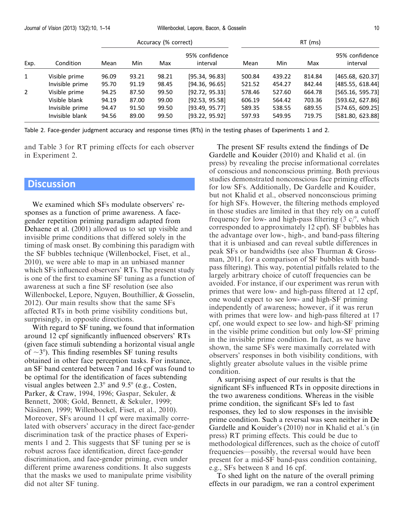<span id="page-9-0"></span>

|              |                 | Accuracy (% correct) |       |       | $RT$ (ms)                  |        |        |        |                            |
|--------------|-----------------|----------------------|-------|-------|----------------------------|--------|--------|--------|----------------------------|
| Exp.         | Condition       | Mean                 | Min   | Max   | 95% confidence<br>interval | Mean   | Min    | Max    | 95% confidence<br>interval |
| $\mathbf{1}$ | Visible prime   | 96.09                | 93.21 | 98.21 | [95.34, 96.83]             | 500.84 | 439.22 | 814.84 | [465.68, 620.37]           |
|              | Invisible prime | 95.70                | 91.19 | 98.45 | [94.36, 96.65]             | 521.52 | 454.27 | 842.44 | [485.55, 618.44]           |
| 2            | Visible prime   | 94.25                | 87.50 | 99.50 | [92.72, 95.33]             | 578.46 | 527.60 | 664.78 | [565.16, 595.73]           |
|              | Visible blank   | 94.19                | 87.00 | 99.00 | [92.53, 95.58]             | 606.19 | 564.42 | 703.36 | [593.62, 627.86]           |
|              | Invisible prime | 94.47                | 91.50 | 99.50 | [93.49, 95.77]             | 589.35 | 538.55 | 689.55 | [574.65, 609.25]           |
|              | Invisible blank | 94.56                | 89.00 | 99.50 | [93.22, 95.92]             | 597.93 | 549.95 | 719.75 | [581.80, 623.88]           |

Table 2. Face-gender judgment accuracy and response times (RTs) in the testing phases of Experiments 1 and 2.

and [Table 3](#page-10-0) for RT priming effects for each observer in Experiment 2.

## **Discussion**

We examined which SFs modulate observers' responses as a function of prime awareness. A facegender repetition priming paradigm adapted from Dehaene et al. [\(2001](#page-12-0)) allowed us to set up visible and invisible prime conditions that differed solely in the timing of mask onset. By combining this paradigm with the SF bubbles technique (Willenbockel, Fiset, et al., [2010\)](#page-13-0), we were able to map in an unbiased manner which SFs influenced observers' RTs. The present study is one of the first to examine SF tuning as a function of awareness at such a fine SF resolution (see also Willenbockel, Lepore, Nguyen, Bouthillier, & Gosselin, [2012\)](#page-13-0). Our main results show that the same SFs affected RTs in both prime visibility conditions but, surprisingly, in opposite directions.

With regard to SF tuning, we found that information around 12 cpf significantly influenced observers' RTs (given face stimuli subtending a horizontal visual angle of  $\sim$ 3°). This finding resembles SF tuning results obtained in other face perception tasks. For instance, an SF band centered between 7 and 16 cpf was found to be optimal for the identification of faces subtending visual angles between  $2.3^{\circ}$  and  $9.5^{\circ}$  (e.g., Costen, Parker, & Craw, [1994](#page-12-0), [1996;](#page-12-0) Gaspar, Sekuler, & Bennett, [2008;](#page-12-0) Gold, Bennett, & Sekuler, [1999](#page-12-0); Näsänen, [1999;](#page-13-0) Willenbockel, Fiset, et al., [2010\)](#page-13-0). Moreover, SFs around 11 cpf were maximally correlated with observers' accuracy in the direct face-gender discrimination task of the practice phases of Experiments 1 and 2. This suggests that SF tuning per se is robust across face identification, direct face-gender discrimination, and face-gender priming, even under different prime awareness conditions. It also suggests that the masks we used to manipulate prime visibility did not alter SF tuning.

The present SF results extend the findings of De Gardelle and Kouider [\(2010](#page-12-0)) and [Khalid et al. \(in](#page-12-0) [press](#page-12-0)) by revealing the precise informational correlates of conscious and nonconscious priming. Both previous studies demonstrated nonconscious face priming effects for low SFs. Additionally, De Gardelle and Kouider, but not Khalid et al., observed nonconscious priming for high SFs. However, the filtering methods employed in those studies are limited in that they rely on a cutoff frequency for low- and high-pass filtering  $(3 \text{ c}/\textdegree)$ , which corresponded to approximately 12 cpf). SF bubbles has the advantage over low-, high-, and band-pass filtering that it is unbiased and can reveal subtle differences in peak SFs or bandwidths (see also Thurman & Grossman, [2011](#page-13-0), for a comparison of SF bubbles with bandpass filtering). This way, potential pitfalls related to the largely arbitrary choice of cutoff frequencies can be avoided. For instance, if our experiment was rerun with primes that were low- and high-pass filtered at 12 cpf, one would expect to see low- and high-SF priming independently of awareness; however, if it was rerun with primes that were low- and high-pass filtered at 17 cpf, one would expect to see low- and high-SF priming in the visible prime condition but only low-SF priming in the invisible prime condition. In fact, as we have shown, the same SFs were maximally correlated with observers' responses in both visibility conditions, with slightly greater absolute values in the visible prime condition.

A surprising aspect of our results is that the significant SFs influenced RTs in opposite directions in the two awareness conditions. Whereas in the visible prime condition, the significant SFs led to fast responses, they led to slow responses in the invisible prime condition. Such a reversal was seen neither in De Gardelle and Kouider's ([2010\)](#page-12-0) nor in [Khalid et al.'s \(in](#page-12-0) [press](#page-12-0)) RT priming effects. This could be due to methodological differences, such as the choice of cutoff frequencies—possibly, the reversal would have been present for a mid-SF band-pass condition containing, e.g., SFs between 8 and 16 cpf.

To shed light on the nature of the overall priming effects in our paradigm, we ran a control experiment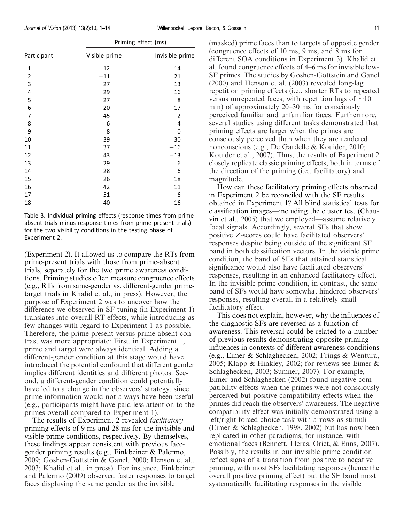<span id="page-10-0"></span>

|                         | Priming effect (ms) |                 |  |  |  |
|-------------------------|---------------------|-----------------|--|--|--|
| Participant             | Visible prime       | Invisible prime |  |  |  |
| 1                       | 12                  | 14              |  |  |  |
| $\overline{\mathbf{c}}$ | $-11$               | 21              |  |  |  |
| 3                       | 27                  | 13              |  |  |  |
| 4                       | 29                  | 16              |  |  |  |
| 5                       | 27                  | 8               |  |  |  |
| 6                       | 20                  | 17              |  |  |  |
| 7                       | 45                  | $^{-2}$         |  |  |  |
| 8                       | 6                   | 4               |  |  |  |
| 9                       | 8                   | 0               |  |  |  |
| 10                      | 39                  | 30              |  |  |  |
| 11                      | 37                  | $-16$           |  |  |  |
| 12                      | 43                  | $-13$           |  |  |  |
| 13                      | 29                  | 6               |  |  |  |
| 14                      | 28                  | 6               |  |  |  |
| 15                      | 26                  | 18              |  |  |  |
| 16                      | 42                  | 11              |  |  |  |
| 17                      | 51                  | 6               |  |  |  |
| 18                      | 40                  | 16              |  |  |  |

Table 3. Individual priming effects (response times from prime absent trials minus response times from prime present trials) for the two visibility conditions in the testing phase of Experiment 2.

(Experiment 2). It allowed us to compare the RTs from prime-present trials with those from prime-absent trials, separately for the two prime awareness conditions. Priming studies often measure congruence effects (e.g., RTs from same-gender vs. different-gender primetarget trials in [Khalid et al., in press](#page-12-0)). However, the purpose of Experiment 2 was to uncover how the difference we observed in SF tuning (in Experiment 1) translates into overall RT effects, while introducing as few changes with regard to Experiment 1 as possible. Therefore, the prime-present versus prime-absent contrast was more appropriate: First, in Experiment 1, prime and target were always identical. Adding a different-gender condition at this stage would have introduced the potential confound that different gender implies different identities and different photos. Second, a different-gender condition could potentially have led to a change in the observers' strategy, since prime information would not always have been useful (e.g., participants might have paid less attention to the primes overall compared to Experiment 1).

The results of Experiment 2 revealed *facilitatory* priming effects of 9 ms and 28 ms for the invisible and visible prime conditions, respectively. By themselves, these findings appear consistent with previous facegender priming results (e.g., Finkbeiner & Palermo, [2009;](#page-12-0) Goshen-Gottstein & Ganel, [2000;](#page-12-0) Henson et al., [2003; Khalid et al., in press\)](#page-12-0). For instance, Finkbeiner and Palermo ([2009\)](#page-12-0) observed faster responses to target faces displaying the same gender as the invisible

(masked) prime faces than to targets of opposite gender (congruence effects of 10 ms, 9 ms, and 8 ms for different SOA conditions in Experiment 3). Khalid et al. found congruence effects of 4–6 ms for invisible low-SF primes. The studies by Goshen-Gottstein and Ganel ([2000](#page-12-0)) and Henson et al. ([2003](#page-12-0)) revealed long-lag repetition priming effects (i.e., shorter RTs to repeated versus unrepeated faces, with repetition lags of  $\sim 10$ min) of approximately 20–30 ms for consciously perceived familiar and unfamiliar faces. Furthermore, several studies using different tasks demonstrated that priming effects are larger when the primes are consciously perceived than when they are rendered nonconscious (e.g., De Gardelle & Kouider, [2010](#page-12-0); Kouider et al., [2007\)](#page-13-0). Thus, the results of Experiment 2 closely replicate classic priming effects, both in terms of the direction of the priming (i.e., facilitatory) and magnitude.

How can these facilitatory priming effects observed in Experiment 2 be reconciled with the SF results obtained in Experiment 1? All blind statistical tests for classification images—including the cluster test (Chauvin et al., [2005](#page-12-0)) that we employed—assume relatively focal signals. Accordingly, several SFs that show positive Z-scores could have facilitated observers' responses despite being outside of the significant SF band in both classification vectors. In the visible prime condition, the band of SFs that attained statistical significance would also have facilitated observers' responses, resulting in an enhanced facilitatory effect. In the invisible prime condition, in contrast, the same band of SFs would have somewhat hindered observers' responses, resulting overall in a relatively small facilitatory effect.

This does not explain, however, why the influences of the diagnostic SFs are reversed as a function of awareness. This reversal could be related to a number of previous results demonstrating opposite priming influences in contexts of different awareness conditions (e.g., Eimer & Schlaghecken, [2002;](#page-12-0) Frings & Wentura, [2005;](#page-12-0) Klapp & Hinkley, [2002;](#page-13-0) for reviews see Eimer & Schlaghecken, [2003;](#page-12-0) Sumner, [2007](#page-13-0)). For example, Eimer and Schlaghecken ([2002\)](#page-12-0) found negative compatibility effects when the primes were not consciously perceived but positive compatibility effects when the primes did reach the observers' awareness. The negative compatibility effect was initially demonstrated using a left/right forced choice task with arrows as stimuli (Eimer & Schlaghecken, [1998, 2002](#page-12-0)) but has now been replicated in other paradigms, for instance, with emotional faces (Bennett, Lleras, Oriet, & Enns, [2007](#page-12-0)). Possibly, the results in our invisible prime condition reflect signs of a transition from positive to negative priming, with most SFs facilitating responses (hence the overall positive priming effect) but the SF band most systematically facilitating responses in the visible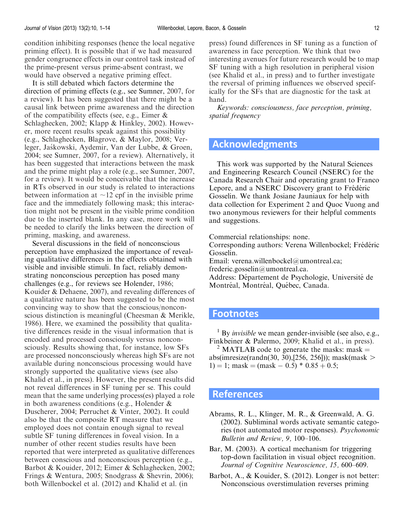<span id="page-11-0"></span>condition inhibiting responses (hence the local negative priming effect). It is possible that if we had measured gender congruence effects in our control task instead of the prime-present versus prime-absent contrast, we would have observed a negative priming effect.

It is still debated which factors determine the direction of priming effects (e.g., see Sumner, [2007,](#page-13-0) for a review). It has been suggested that there might be a causal link between prime awareness and the direction of the compatibility effects (see, e.g., Eimer & Schlaghecken, [2002;](#page-12-0) Klapp & Hinkley, [2002](#page-13-0)). However, more recent results speak against this possibility (e.g., Schlaghecken, Blagrove, & Maylor, [2008](#page-13-0); Verleger, Jaśkowski, Aydemir, Van der Lubbe, & Groen, [2004;](#page-13-0) see Sumner, [2007](#page-13-0), for a review). Alternatively, it has been suggested that interactions between the mask and the prime might play a role (e.g., see Sumner, [2007](#page-13-0), for a review). It would be conceivable that the increase in RTs observed in our study is related to interactions between information at  $\sim$ 12 cpf in the invisible prime face and the immediately following mask; this interaction might not be present in the visible prime condition due to the inserted blank. In any case, more work will be needed to clarify the links between the direction of priming, masking, and awareness.

Several discussions in the field of nonconscious perception have emphasized the importance of revealing qualitative differences in the effects obtained with visible and invisible stimuli. In fact, reliably demonstrating nonconscious perception has posed many challenges (e.g., for reviews see Holender, [1986](#page-12-0); Kouider & Dehaene, [2007](#page-13-0)), and revealing differences of a qualitative nature has been suggested to be the most convincing way to show that the conscious/nonconscious distinction is meaningful (Cheesman & Merikle, [1986\)](#page-12-0). Here, we examined the possibility that qualitative differences reside in the visual information that is encoded and processed consciously versus nonconsciously. Results showing that, for instance, low SFs are processed nonconsciously whereas high SFs are not available during nonconscious processing would have strongly supported the qualitative views (see also [Khalid et al., in press\)](#page-12-0). However, the present results did not reveal differences in SF tuning per se. This could mean that the same underlying process(es) played a role in both awareness conditions (e.g., Holender & Duscherer, [2004;](#page-12-0) Perruchet & Vinter, [2002](#page-13-0)). It could also be that the composite RT measure that we employed does not contain enough signal to reveal subtle SF tuning differences in foveal vision. In a number of other recent studies results have been reported that were interpreted as qualitative differences between conscious and nonconscious perception (e.g., Barbot & Kouider, 2012; Eimer & Schlaghecken, [2002](#page-12-0); Frings & Wentura, [2005;](#page-12-0) Snodgrass & Shevrin, [2006\)](#page-13-0); both Willenbockel et al. [\(2012](#page-13-0)) and [Khalid et al. \(in](#page-12-0)

[press](#page-12-0)) found differences in SF tuning as a function of awareness in face perception. We think that two interesting avenues for future research would be to map SF tuning with a high resolution in peripheral vision (see [Khalid et al., in press](#page-12-0)) and to further investigate the reversal of priming influences we observed specifically for the SFs that are diagnostic for the task at hand.

Keywords: consciousness, face perception, priming, spatial frequency

# Acknowledgments

This work was supported by the Natural Sciences and Engineering Research Council (NSERC) for the Canada Research Chair and operating grant to Franco Lepore, and a NSERC Discovery grant to Frédéric Gosselin. We thank Josiane Jauniaux for help with data collection for Experiment 2 and Quoc Vuong and two anonymous reviewers for their helpful comments and suggestions.

Commercial relationships: none. Corresponding authors: Verena Willenbockel; Frédéric Gosselin. Email: verena.willenbockel@umontreal.ca; frederic.gosselin@umontreal.ca.

Address: Département de Psychologie, Université de Montréal, Montréal, Québec, Canada.

## Footnotes

By *invisible* we mean gender-invisible (see also, e.g., Finkbeiner & Palermo, 2009; Khalid et al., in press). <sup>2</sup> MATLAB code to generate the masks: mask  $=$ abs(imresize(randn(30, 30),[256, 256])); mask(mask  $>$  $1) = 1$ ; mask = (mask – 0.5) \* 0.85 + 0.5;

## References

- Abrams, R. L., Klinger, M. R., & Greenwald, A. G. (2002). Subliminal words activate semantic categories (not automated motor responses). Psychonomic Bulletin and Review, 9, 100–106.
- Bar, M. (2003). A cortical mechanism for triggering top-down facilitation in visual object recognition. Journal of Cognitive Neuroscience, 15, 600–609.
- Barbot, A., & Kouider, S. (2012). Longer is not better: Nonconscious overstimulation reverses priming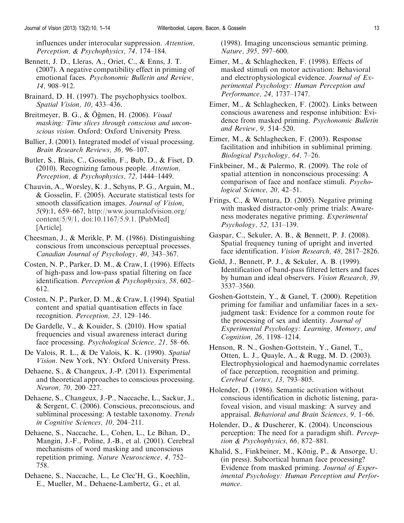<span id="page-12-0"></span>influences under interocular suppression. Attention, Perception, & Psychophysics, 74, 174–184.

- Bennett, J. D., Lleras, A., Oriet, C., & Enns, J. T. (2007). A negative compatibility effect in priming of emotional faces. Psychonomic Bulletin and Review, 14, 908–912.
- Brainard, D. H. (1997). The psychophysics toolbox. Spatial Vision, 10, 433–436.
- Breitmeyer, B. G., & Öğmen, H. (2006). Visual masking: Time slices through conscious and unconscious vision. Oxford: Oxford University Press.
- Bullier, J. (2001). Integrated model of visual processing. Brain Research Reviews, 36, 96–107.
- Butler, S., Blais, C., Gosselin, F., Bub, D., & Fiset, D. (2010). Recognizing famous people. Attention, Perception, & Psychophysics, 72, 1444-1449.
- Chauvin, A., Worsley, K. J., Schyns, P. G., Arguin, M., & Gosselin, F. (2005). Accurate statistical tests for smooth classification images. Journal of Vision,  $5(9)$ :1, 659–667, [http://www.journalofvision.org/](http://www.journalofvision.org/content/5/9/1) [content/5/9/1](http://www.journalofvision.org/content/5/9/1), doi:10.1167/5.9.1. [\[PubMed\]](http://www.ncbi.nlm.nih.gov/pubmed/16356076) [[Article\]](http://www.journalofvision.org/content/5/9/1.long).
- Cheesman, J., & Merikle, P. M. (1986). Distinguishing conscious from unconscious perceptual processes. Canadian Journal of Psychology, 40, 343–367.
- Costen, N. P., Parker, D. M., & Craw, I. (1996). Effects of high-pass and low-pass spatial filtering on face identification. Perception & Psychophysics, 58, 602– 612.
- Costen, N. P., Parker, D. M., & Craw, I. (1994). Spatial content and spatial quantisation effects in face recognition. Perception, 23, 129–146.
- De Gardelle, V., & Kouider, S. (2010). How spatial frequencies and visual awareness interact during face processing. *Psychological Science*, 21, 58–66.
- De Valois, R. L., & De Valois, K. K. (1990). Spatial Vision. New York, NY: Oxford University Press.
- Dehaene, S., & Changeux, J.-P. (2011). Experimental and theoretical approaches to conscious processing. Neuron, 70, 200–227.
- Dehaene, S., Changeux, J.-P., Naccache, L., Sackur, J., & Sergent, C. (2006). Conscious, preconscious, and subliminal processing: A testable taxonomy. Trends in Cognitive Sciences, 10, 204–211.
- Dehaene, S., Naccache, L., Cohen, L., Le Bihan, D., Mangin, J.-F., Poline, J.-B., et al. (2001). Cerebral mechanisms of word masking and unconscious repetition priming. Nature Neuroscience, 4, 752– 758.
- Dehaene, S., Naccache, L., Le Clec'H, G., Koechlin, E., Mueller, M., Dehaene-Lambertz, G., et al.

(1998). Imaging unconscious semantic priming. Nature, 395, 597–600.

- Eimer, M., & Schlaghecken, F. (1998). Effects of masked stimuli on motor activation: Behavioral and electrophysiological evidence. Journal of Experimental Psychology: Human Perception and Performance, 24, 1737–1747.
- Eimer, M., & Schlaghecken, F. (2002). Links between conscious awareness and response inhibition: Evidence from masked priming. Psychonomic Bulletin and Review, 9, 514–520.
- Eimer, M., & Schlaghecken, F. (2003). Response facilitation and inhibition in subliminal priming. Biological Psychology, 64, 7–26.
- Finkbeiner, M., & Palermo, R. (2009). The role of spatial attention in nonconscious processing: A comparison of face and nonface stimuli. Psychological Science, 20, 42–51.
- Frings, C., & Wentura, D. (2005). Negative priming with masked distractor-only prime trials: Awareness moderates negative priming. Experimental Psychology, 52, 131–139.
- Gaspar, C., Sekuler, A. B., & Bennett, P. J. (2008). Spatial frequency tuning of upright and inverted face identification. Vision Research, 48, 2817–2826.
- Gold, J., Bennett, P. J., & Sekuler, A. B. (1999). Identification of band-pass filtered letters and faces by human and ideal observers. Vision Research, 39, 3537–3560.
- Goshen-Gottstein, Y., & Ganel, T. (2000). Repetition priming for familiar and unfamiliar faces in a sexjudgment task: Evidence for a common route for the processing of sex and identity. Journal of Experimental Psychology: Learning, Memory, and Cognition, 26, 1198–1214.
- Henson, R. N., Goshen-Gottstein, Y., Ganel, T., Otten, L. J., Quayle, A., & Rugg, M. D. (2003). Electrophysiological and haemodynamic correlates of face perception, recognition and priming. Cerebral Cortex, 13, 793–805.
- Holender, D. (1986). Semantic activation without conscious identification in dichotic listening, parafoveal vision, and visual masking: A survey and appraisal. Behavioral and Brain Sciences, 9, 1–66.
- Holender, D., & Duscherer, K. (2004). Unconscious perception: The need for a paradigm shift. Perception & Psychophysics, 66, 872–881.
- Khalid, S., Finkbeiner, M., König, P., & Ansorge, U. (in press). Subcortical human face processing? Evidence from masked priming. Journal of Experimental Psychology: Human Perception and Performance.